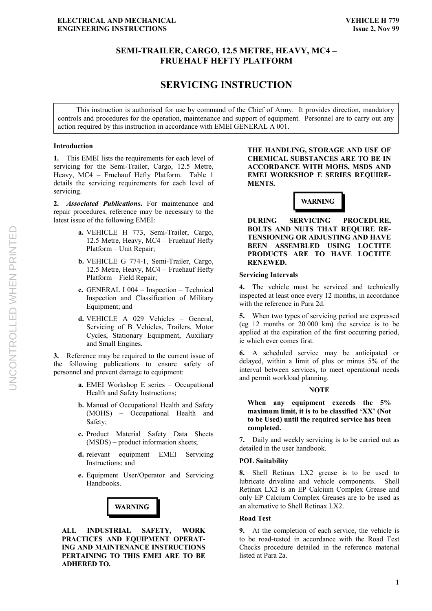# **SEMI-TRAILER, CARGO, 12.5 METRE, HEAVY, MC4 – FRUEHAUF HEFTY PLATFORM**

# **SERVICING INSTRUCTION**

This instruction is authorised for use by command of the Chief of Army. It provides direction, mandatory controls and procedures for the operation, maintenance and support of equipment. Personnel are to carry out any action required by this instruction in accordance with EMEI GENERAL A 001.

## **Introduction**

**1.** This EMEI lists the requirements for each level of servicing for the Semi-Trailer, Cargo, 12.5 Metre, Heavy, MC4 – Fruehauf Hefty Platform. Table 1 details the servicing requirements for each level of servicing.

**2.** *Associated Publications***.** For maintenance and repair procedures, reference may be necessary to the latest issue of the following EMEI:

- **a.** VEHICLE H 773, Semi-Trailer, Cargo, 12.5 Metre, Heavy, MC4 – Fruehauf Hefty Platform – Unit Repair;
- **b.** VEHICLE G 774-1, Semi-Trailer, Cargo, 12.5 Metre, Heavy, MC4 – Fruehauf Hefty Platform – Field Repair;
- **c.** GENERAL I 004 Inspection Technical Inspection and Classification of Military Equipment; and
- **d.** VEHICLE A 029 Vehicles General, Servicing of B Vehicles, Trailers, Motor Cycles, Stationary Equipment, Auxiliary and Small Engines.

**3.** Reference may be required to the current issue of the following publications to ensure safety of personnel and prevent damage to equipment:

- **a.** EMEI Workshop E series Occupational Health and Safety Instructions;
- **b.** Manual of Occupational Health and Safety (MOHS) – Occupational Health and Safety;
- **c.** Product Material Safety Data Sheets (MSDS) – product information sheets;
- **d.** relevant equipment EMEI Servicing Instructions; and
- **e.** Equipment User/Operator and Servicing Handbooks.



**ALL INDUSTRIAL SAFETY, WORK PRACTICES AND EQUIPMENT OPERAT-ING AND MAINTENANCE INSTRUCTIONS PERTAINING TO THIS EMEI ARE TO BE ADHERED TO.**

**THE HANDLING, STORAGE AND USE OF CHEMICAL SUBSTANCES ARE TO BE IN ACCORDANCE WITH MOHS, MSDS AND EMEI WORKSHOP E SERIES REQUIRE-MENTS.**



**DURING SERVICING PROCEDURE, BOLTS AND NUTS THAT REQUIRE RE-TENSIONING OR ADJUSTING AND HAVE BEEN ASSEMBLED USING LOCTITE PRODUCTS ARE TO HAVE LOCTITE RENEWED.**

#### **Servicing Intervals**

**4.** The vehicle must be serviced and technically inspected at least once every 12 months, in accordance with the reference in Para 2d.

**5.** When two types of servicing period are expressed (eg 12 months or 20 000 km) the service is to be applied at the expiration of the first occurring period, ie which ever comes first.

**6.** A scheduled service may be anticipated or delayed, within a limit of plus or minus 5% of the interval between services, to meet operational needs and permit workload planning.

#### **NOTE**

**When any equipment exceeds the 5% maximum limit, it is to be classified 'XX' (Not to be Used) until the required service has been completed.**

**7.** Daily and weekly servicing is to be carried out as detailed in the user handbook.

## **POL Suitability**

**8.** Shell Retinax LX2 grease is to be used to lubricate driveline and vehicle components. Shell Retinax LX2 is an EP Calcium Complex Grease and only EP Calcium Complex Greases are to be used as an alternative to Shell Retinax LX2.

#### **Road Test**

**9.** At the completion of each service, the vehicle is to be road-tested in accordance with the Road Test Checks procedure detailed in the reference material listed at Para 2a.